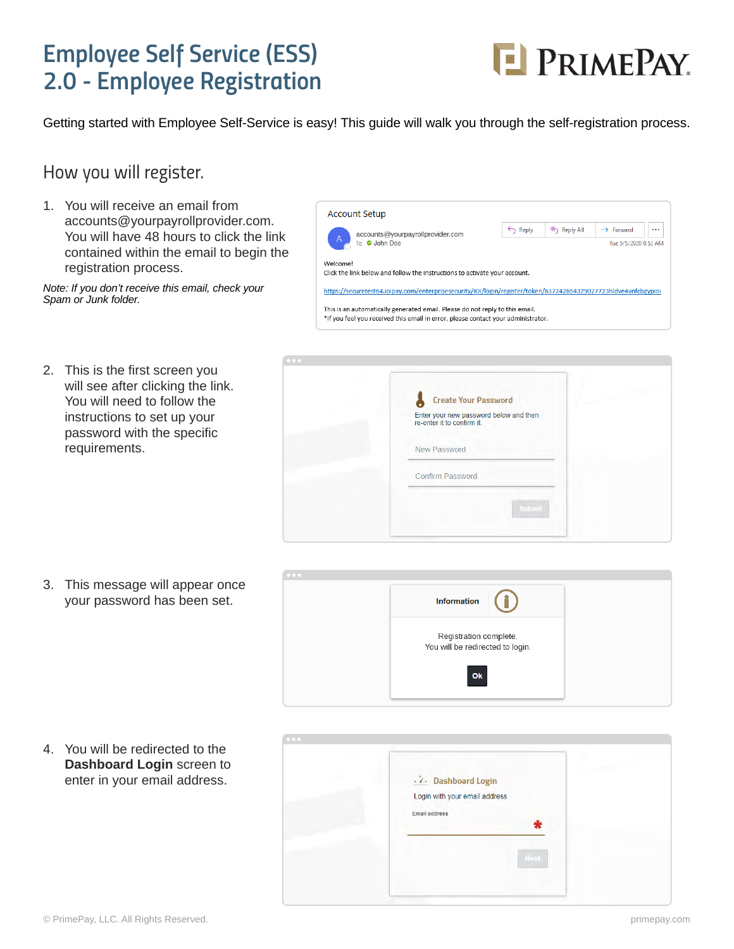### *Employee Self Service (ESS) 2.0 - Employee Registration*



Getting started with Employee Self-Service is easy! This guide will walk you through the self-registration process.

#### *How you will register.*

1. You will receive an email from accounts@yourpayrollprovider.com. You will have 48 hours to click the link contained within the email to begin the registration process.

*Note: If you don't receive this email, check your Spam or Junk folder.*

| <b>Account Setup</b>                                                                                                                                              |                      |           |         |  |  |  |
|-------------------------------------------------------------------------------------------------------------------------------------------------------------------|----------------------|-----------|---------|--|--|--|
| accounts@yourpayrollprovider.com<br>$\overline{A}$<br>To <b>O</b> John Doe                                                                                        | $\leftarrow$ Reply   | Reply All | Forward |  |  |  |
|                                                                                                                                                                   | Tue 5/5/2020 8:52 AM |           |         |  |  |  |
| Welcome!<br>Click the link below and follow the instructions to activate your account.                                                                            |                      |           |         |  |  |  |
| https://securetest64.ioipay.com/enterprisesecurity/IOI/login/register/token/637242654329027723hldve4vnfcbgypioi                                                   |                      |           |         |  |  |  |
| This is an automatically generated email. Please do not reply to this email.<br>*If you feel you received this email in error, please contact your administrator. |                      |           |         |  |  |  |

2. This is the first screen you will see after clicking the link. You will need to follow the instructions to set up your password with the specific requirements.



3. This message will appear once your password has been set.



4. You will be redirected to the **Dashboard Login** screen to enter in your email address.

| $\cdot$ $\lambda$ Dashboard Login |  |
|-----------------------------------|--|
| Login with your email address     |  |
| Email address                     |  |
|                                   |  |
| Next                              |  |
|                                   |  |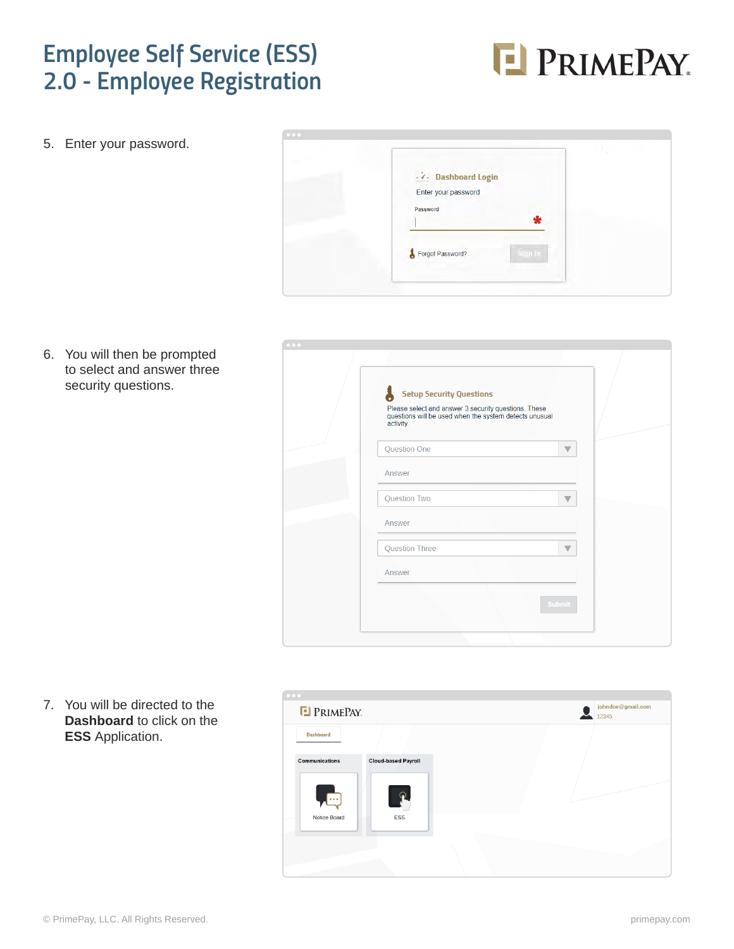## *Employee Self Service (ESS) 2.0 - Employee Registration*



5. Enter your password.



6. You will then be prompted to select and answer three security questions.

| $\begin{array}{ccccc} \bullet & \bullet & \bullet & \bullet \end{array}$ |                                                                                                                                                                |                         |  |
|--------------------------------------------------------------------------|----------------------------------------------------------------------------------------------------------------------------------------------------------------|-------------------------|--|
|                                                                          | <b>Setup Security Questions</b><br>Please select and answer 3 security questions. These<br>questions will be used when the system detects unusual<br>activity. |                         |  |
|                                                                          | Question One                                                                                                                                                   | $\overline{\mathbb{V}}$ |  |
|                                                                          | Answer                                                                                                                                                         |                         |  |
|                                                                          | Question Two                                                                                                                                                   | $\overline{\mathbb{V}}$ |  |
|                                                                          | Answer                                                                                                                                                         |                         |  |
|                                                                          | <b>Question Three</b>                                                                                                                                          | $\overline{\mathbb{V}}$ |  |
|                                                                          | Answer                                                                                                                                                         |                         |  |
|                                                                          |                                                                                                                                                                | <b>Submit</b>           |  |
|                                                                          |                                                                                                                                                                |                         |  |

7. You will be directed to the **Dashboard** to click on the **ESS** Application.